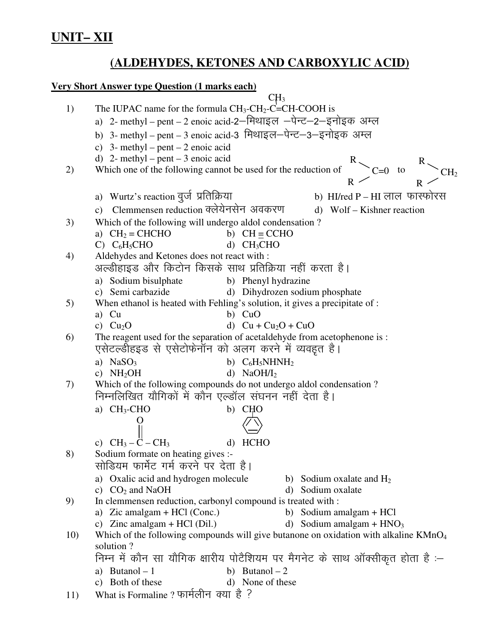# **UNIT-XII**

# (ALDEHYDES, KETONES AND CARBOXYLIC ACID)

## **Very Short Answer type Question (1 marks each)**

|     | CH <sub>3</sub>                                                                                               |
|-----|---------------------------------------------------------------------------------------------------------------|
| 1)  | The IUPAC name for the formula $CH_3-CH_2-C=CH-COOH$ is                                                       |
|     | a) 2- methyl - pent - 2 enoic acid-2-मिथाइल -पेन्ट-2-इनोइक अम्ल                                               |
|     | b) 3- methyl - pent - 3 enoic acid-3 मिथाइल-पेन्ट-3-इनोइक अम्ल                                                |
|     | c) 3- methyl – pent – 2 enoic acid                                                                            |
|     | d) 2- methyl – pent – 3 enoic acid                                                                            |
| 2)  | CH <sub>2</sub><br>Which one of the following cannot be used for the reduction of                             |
|     | $R \sim$                                                                                                      |
|     | a) Wurtz's reaction वुर्ज प्रतिक्रिया<br>b) HI/red P – HI लाल फास्फोरस                                        |
|     | c) Clemmensen reduction क्लेयेनसेन अवकरण<br>d) Wolf – Kishner reaction                                        |
| 3)  | Which of the following will undergo aldol condensation?                                                       |
|     | a) $CH2 = CHCHO$<br>b) $CH \equiv CCHO$                                                                       |
|     | C) $C_6H_5CHO$<br>d) $CH3CHO$                                                                                 |
| 4)  | Aldehydes and Ketones does not react with :                                                                   |
|     | अल्डीहाइड और किटोन किसके साथ प्रतिक्रिया नहीं करता है।                                                        |
|     | a) Sodium bisulphate<br>b) Phenyl hydrazine                                                                   |
|     | c) Semi carbazide<br>d) Dihydrozen sodium phosphate                                                           |
| 5)  | When ethanol is heated with Fehling's solution, it gives a precipitate of :                                   |
|     | a) Cu<br>b) CuO                                                                                               |
|     | d) $Cu + Cu2O + CuO$<br>c) $Cu2O$                                                                             |
| 6)  | The reagent used for the separation of acetaldehyde from acetophenone is :                                    |
|     | एसेटल्डीहइड से एसेटोफेनॉन को अलग करने में व्यवहृत है।                                                         |
|     | a) $NaSO3$<br>b) $C_6H_5NHNH_2$                                                                               |
|     | c) $NH2OH$<br>d) $NaOH/I2$                                                                                    |
| 7)  | Which of the following compounds do not undergo aldol condensation?                                           |
|     | निम्नलिखित यौगिकों में कौन एल्डॉल संघनन नहीं देता है।                                                         |
|     | a) $CH3-CHO$<br>b) CHO                                                                                        |
|     |                                                                                                               |
|     |                                                                                                               |
|     | c) $CH_3 - \dot{C} - CH_3$<br><b>HCHO</b><br>$\mathbf{d}$                                                     |
| 8)  | Sodium formate on heating gives :-<br>सोडियम फार्मेट गर्म करने पर देता है।                                    |
|     |                                                                                                               |
|     | a) Oxalic acid and hydrogen molecule<br>b) Sodium oxalate and $H_2$<br>c) $CO2$ and NaOH<br>d) Sodium oxalate |
| 9)  | In clemmensen reduction, carbonyl compound is treated with :                                                  |
|     | a) Zic amalgam + HCl (Conc.)<br>Sodium amalgam + HCl<br>b)                                                    |
|     | c) Zinc amalgam + HCl $(Dil.)$<br>d) Sodium amalgam + $HNO3$                                                  |
| 10) | Which of the following compounds will give butanone on oxidation with alkaline $KMnO4$                        |
|     | solution?                                                                                                     |
|     | निम्न में कौन सा यौगिक क्षारीय पोटैशियम पर मैगनेट के साथ ऑक्सीकृत होता है :-                                  |
|     | a) Butanol $-1$<br>b) Butanol $-2$                                                                            |
|     | c) Both of these<br>d) None of these                                                                          |
| 11) | What is Formaline ? फार्मलीन क्या है ?                                                                        |
|     |                                                                                                               |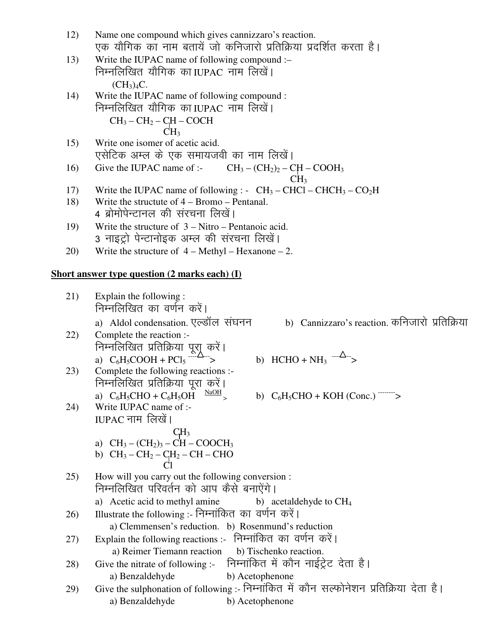| 12) | Name one compound which gives cannizzaro's reaction.               |
|-----|--------------------------------------------------------------------|
|     | एक यौगिक का नाम बतायें जो कनिजारो प्रतिक्रिया प्रदर्शित करता है।   |
| 13) | Write the IUPAC name of following compound :-                      |
|     | निम्नलिखित यौगिक काIUPAC नाम लिखें।                                |
|     | (CH <sub>3</sub> ) <sub>4</sub> C.                                 |
| 14) | Write the IUPAC name of following compound :                       |
|     | निम्नलिखित यौगिक काIUPAC नाम लिखें।                                |
|     | $CH_3-CH_2-CH-COCH$                                                |
|     | CH <sub>3</sub>                                                    |
| 15) | Write one isomer of acetic acid.                                   |
|     | एसेटिक अम्ल के एक समायजवी का नाम लिखें।                            |
| 16) | Give the IUPAC name of :- $CH_3 - (CH_2)_2 - CH - COOH_3$          |
|     | CH <sub>3</sub>                                                    |
| 17) | Write the IUPAC name of following : $CH_3-CHCl-CHCH_3-CO_2H$       |
| 18) | Write the structute of $4 - B$ romo $- P$ entanal.                 |
|     | 4 ब्रोमोपेन्टानल की संरचना लिखें।                                  |
| 19) | Write the structure of $3 -$ Nitro – Pentanoic acid.               |
|     | 3 नाइट्रो पेन्टानोइक अम्ल की संरचना लिखें।                         |
| 20) | Write the structure of $4 - \text{Methyl} - \text{Hexanone} - 2$ . |
|     |                                                                    |

#### **Short answer type question (2 marks each) (I)**

21) Explain the following : निम्नलिखित का वर्णन करें। a) Aldol condensation. एल्डॉल संघनन b) Cannizzaro's reaction. कनिजारो प्रतिक्रिया 22) Complete the reaction :- निम्नलिखित प्रतिक्रिया पूराू करें। a)  $C_6H_5COOH + PCl_5$  $\overrightarrow{AB}$  b) HCHO + NH<sub>3</sub>  $\overrightarrow{AB}$  > 23) Complete the following reactions :- निम्नलिखित प्रतिक्रिया पूरा करें। a)  $C_6H_5CHO + C_6H_5OH \overset{\text{NaOH}}{\longrightarrow}$ b)  $C_6H_5CHO + KOH (Conc.)$   $\longrightarrow$ 24) Write IUPAC name of :-  $IUPAC$  नाम) लिखें ।  $CH<sub>3</sub>$ a)  $CH_3 - (CH_2)_3 - CH - COOCH_3$ b)  $CH_3-CH_2-CH_2-CH-CHO$ **Claracter Claracter** Claracter Claracter Claracter Claracter Claracter Claracter Claracter Claracter Claracter Claracter Claracter Claracter Claracter Claracter Claracter Claracter Claracter Claracter Claracter Claracter 25) How will you carry out the following conversion : निम्नलिखित परिवर्तन को आप कैसे बनाऐंगे। a) Acetic acid to methyl amine b) acetaldehyde to  $CH<sub>4</sub>$ 26) Illustrate the following :- निम्नांकित का वर्णन करें। a) Clemmensen's reduction. b) Rosenmund's reduction 27) Explain the following reactions :- निम्नांकित का वर्णन करें। a) Reimer Tiemann reaction b) Tischenko reaction. 28) Give the nitrate of following :- निम्नांकित में कौन नाईट्रेट देता है। a) Benzaldehyde b) Acetophenone 29) Give the sulphonation of following :- निम्नांकित में कौन सल्फोनेशन प्रतिक्रिया देता है। a) Benzaldehyde b) Acetophenone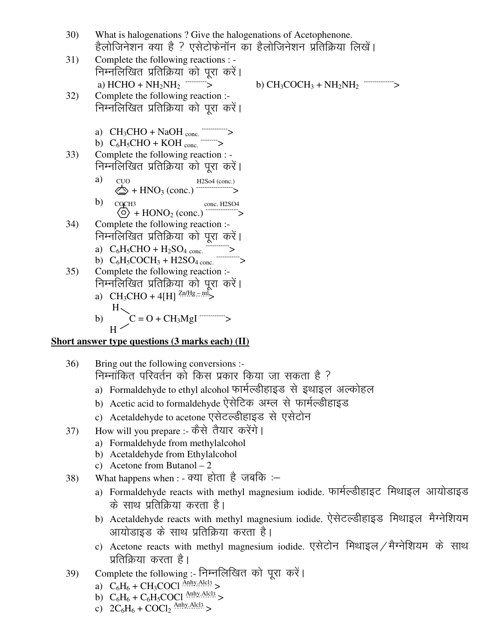|    | 30) | What is halogenations ? Give the halogenations of Acetophenone.                          |
|----|-----|------------------------------------------------------------------------------------------|
|    |     | हैलोजिनेशन क्या है ? एसेटोफेनॉन का हैलोजिनेशन प्रतिक्रिया लिखें।                         |
|    | 31) | Complete the following reactions : -                                                     |
|    |     | निम्नलिखित प्रतिक्रिया को पूरा करें।                                                     |
|    |     | a) $HCHO + NH_2NH_2$ ---------->                                                         |
|    | 32) | Complete the following reaction :-                                                       |
|    |     | निम्नलिखित प्रतिक्रिया को पूरा करें।                                                     |
|    |     | a) $CH_3CHO + NaOH$ <sub>conc.</sub> $\longrightarrow$                                   |
|    |     | b) $C_6H_5CHO + KOH$ conc. $\longrightarrow$                                             |
|    | 33) | Complete the following reaction : -                                                      |
|    |     | निम्नलिखित प्रतिक्रिया को पूरा करें।                                                     |
|    |     | a)                                                                                       |
|    |     | CUO<br>$\Leftrightarrow$ + HNO <sub>3</sub> (conc.) $\xrightarrow{\text{H2So4 (conc.)}}$ |
|    |     | b)<br>COCH <sub>3</sub>                                                                  |
|    |     |                                                                                          |
|    | 34) | Complete the following reaction :-                                                       |
|    |     | निम्नलिखित प्रतिक्रिया को पूरा करें।                                                     |
|    |     | a) $C_6H_5CHO + H_2SO_4$ conc. $\overline{\phantom{C_6}$                                 |
|    | 35) | Complete the following reaction :-                                                       |
|    |     | निम्नलिखित प्रतिक्रिया को पूरा करें।                                                     |
|    |     | a) $CH_3CHO + 4[H] \frac{Zn/Hg - m}{2}$                                                  |
|    |     |                                                                                          |
|    |     | b)                                                                                       |
|    |     |                                                                                          |
| n1 |     | $\sim$ $\sim$                                                                            |

### **Short answer type questions (3 marks each) (II)**

- 36) Bring out the following conversions :- निम्नांकित परिवर्तन को किस प्रकार किया जा सकता है ?
	- a) Formaldehyde to ethyl alcohol फार्मल्डीहाइड से इथाइल अल्कोहल
	- b) Acetic acid to formaldehyde ऐसेटिक अम्ल से फार्मल्डीहाइड
	- c) Acetaldehyde to acetone एसेटल्डीहाइड से एसेटोन
- 37) How will you prepare :- कैसे तैयार करेंगे।
	- a) Formaldehyde from methylalcohol
	- b) Acetaldehyde from Ethylalcohol
	- c) Acetone from Butanol 2
- 38) What happens when : क्या होता है जबकि :
	- a) Formaldehyde reacts with methyl magnesium iodide. फार्मल्डीहाइट मिथाइल आयोडाइड के साथ प्रतिक्रिया करता है।
	- b) Acetaldehyde reacts with methyl magnesium iodide. ऐसेटल्डीहाइड मिथाइल मैग्नेशियम आयोडाइड के साथ प्रतिक्रिया करता है।
	- c) Acetone reacts with methyl magnesium iodide. एसेटोन मिथाइल / मैग्नेशियम के साथ प्रतिक्रिया करता है।
- 39) Complete the following :- निम्नलिखित को पूरा करें।
	- a)  $C_6H_6 + CH_3COCl \frac{Anhy.Ale13}{amly.Ale13}$
	- b)  $C_6H_6 + C_6H_5COCl$  Anhy.Alcl3 >
	- c)  $2C_6H_6 + COCl_2$  Anhy Alcl<sub>3</sub> >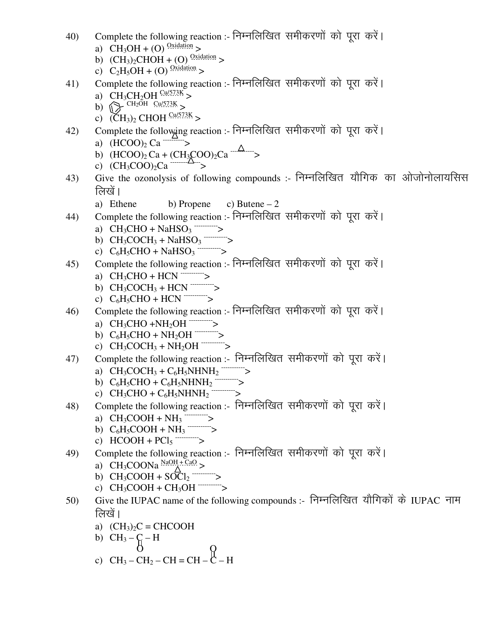- 40) Complete the following reaction :- निम्नलिखित समीकरणों को पूरा करें। a)  $CH_3OH + (O)$ <sup>Oxidation</sup> >
	- b)  $(CH_3)_2CHOH + (O)$   $\frac{Oxidation}{P}$
	- c)  $C_2H_5OH + (O)$   $\frac{Ox_{\text{iddation}}}{Ox_{\text{p}}}\$
- 41) Complete the following reaction :- निम्नलिखित समीकरणों को पूरा करें। a)  $CH_3CH_2OH \frac{Cu/573K}{} >$ 
	- b)  $\bigotimes$  CH<sub>2</sub>OH Cu/573K >
	- c)  $(\text{CH}_3)_2 \text{CHOH} \xrightarrow{\text{Cu/573K}}$
- 42) Complete the following reaction :- निम्नलिखित समीकरणों को पूरा करें। a)  $(HCOO)_2$  Ca  $\overline{\phantom{m}}$  >
	- b)  $(HCOO)_2 Ca + (CH_3COO)_2 Ca \xrightarrow{-(\Delta 1)}$
	- c)  $(CH_3COO)_2Ca$   $\longrightarrow$
- 43) Give the ozonolysis of following compounds :- निम्नलिखित यौगिक का ओजोनोलायसिस लिखें।
	- a) Ethene b) Propene c) Butene 2
- 44) Complete the following reaction :- निम्नलिखित समीकरणों को पूरा करें।
	- a)  $CH_3CHO + NaHSO_3$   $\longrightarrow$
	- b)  $CH_3COCH_3 + NaHSO_3$  ---------->
	- c)  $C_6H_5CHO + NaHSO_3$  ----------->
- 45) Complete the following reaction :- निम्नलिखित समीकरणों को पूरा करें।
	- a) CH3CHO + HCN ----------->
	- b)  $CH_3COCH_3 + HCN$   $\rightarrow$
	- c)  $C_6H_5CHO + HCN$   $\rightarrow$
- 46) Complete the following reaction :- निम्नलिखित समीकरणों को पूरा करें ।
	- a) CH3CHO +NH2OH ----------->
	- b)  $C_6H_5CHO + NH_2OH$  -------
	- c) CH3COCH3 + NH2OH ----------->
- 47) Complete the following reaction :- निम्नलिखित समीकरणों को पूरा करें।
	- a)  $CH_3COCH_3 + C_6H_5NHNH_2$  ----------->
	- b)  $C_6H_5CHO + C_6H_5NHNH_2$ ----------->
	- c)  $CH_3CHO + C_6H_5NHNH_2$  ---------->
- 48) Complete the following reaction :- निम्नलिखित समीकरणों को पूरा करें।
	- a)  $CH_3COOH + NH_3$   $\cdots$  >
	- b)  $C_6H_5COOH + NH_3$   $\cdots$  >
	- c)  $HCOOH + PCI_5$   $\cdots$  >
- 49) Complete the following reaction :- निम्नलिखित समीकरणों को पूरा करें। a)  $CH_3COONa \frac{NaOH + CaO}{A}$ 
	- b) CH3COOH + SOCl<sup>2</sup> ----------->
	- c)  $CH_3COOH + CH_3OH$   $\rightarrow$
- 50) Give the IUPAC name of the following compounds :- निम्नलिखित यौगिकों के IUPAC नाम लिखें।
	- a)  $(CH_3)_2C = CHCOOH$
	- b)  $CH_3 C H$
	- O O c)  $CH_3-CH_2-CH=CH-C-H$